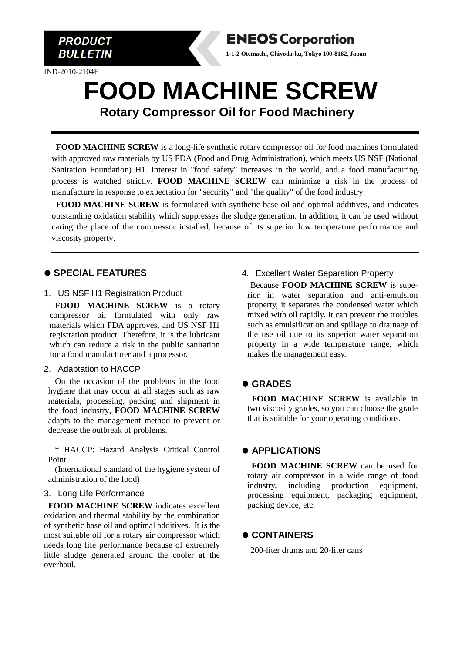

IND-2010-2104E



## **FOOD MACHINE SCREW Rotary Compressor Oil for Food Machinery**

**FOOD MACHINE SCREW** is a long-life synthetic rotary compressor oil for food machines formulated with approved raw materials by US FDA (Food and Drug Administration), which meets US NSF (National Sanitation Foundation) H1. Interest in "food safety" increases in the world, and a food manufacturing process is watched strictly. **FOOD MACHINE SCREW** can minimize a risk in the process of manufacture in response to expectation for "security" and "the quality" of the food industry.

**FOOD MACHINE SCREW** is formulated with synthetic base oil and optimal additives, and indicates outstanding oxidation stability which suppresses the sludge generation. In addition, it can be used without caring the place of the compressor installed, because of its superior low temperature performance and viscosity property.

#### ⚫ **SPECIAL FEATURES**

1. US NSF H1 Registration Product

**FOOD MACHINE SCREW** is a rotary compressor oil formulated with only raw materials which FDA approves, and US NSF H1 registration product. Therefore, it is the lubricant which can reduce a risk in the public sanitation for a food manufacturer and a processor.

#### 2. Adaptation to HACCP

On the occasion of the problems in the food hygiene that may occur at all stages such as raw materials, processing, packing and shipment in the food industry, **FOOD MACHINE SCREW** adapts to the management method to prevent or decrease the outbreak of problems.

\* HACCP: Hazard Analysis Critical Control Point

(International standard of the hygiene system of administration of the food)

#### 3. Long Life Performance

**FOOD MACHINE SCREW** indicates excellent oxidation and thermal stability by the combination of synthetic base oil and optimal additives. It is the most suitable oil for a rotary air compressor which needs long life performance because of extremely little sludge generated around the cooler at the overhaul.

### 4. Excellent Water Separation Property

Because **FOOD MACHINE SCREW** is superior in water separation and anti-emulsion property, it separates the condensed water which mixed with oil rapidly. It can prevent the troubles such as emulsification and spillage to drainage of the use oil due to its superior water separation property in a wide temperature range, which makes the management easy.

#### ⚫ **GRADES**

**FOOD MACHINE SCREW** is available in two viscosity grades, so you can choose the grade that is suitable for your operating conditions.

#### ⚫ **APPLICATIONS**

**FOOD MACHINE SCREW** can be used for rotary air compressor in a wide range of food industry, including production equipment, processing equipment, packaging equipment, packing device, etc.

#### ⚫ **CONTAINERS**

200-liter drums and 20-liter cans